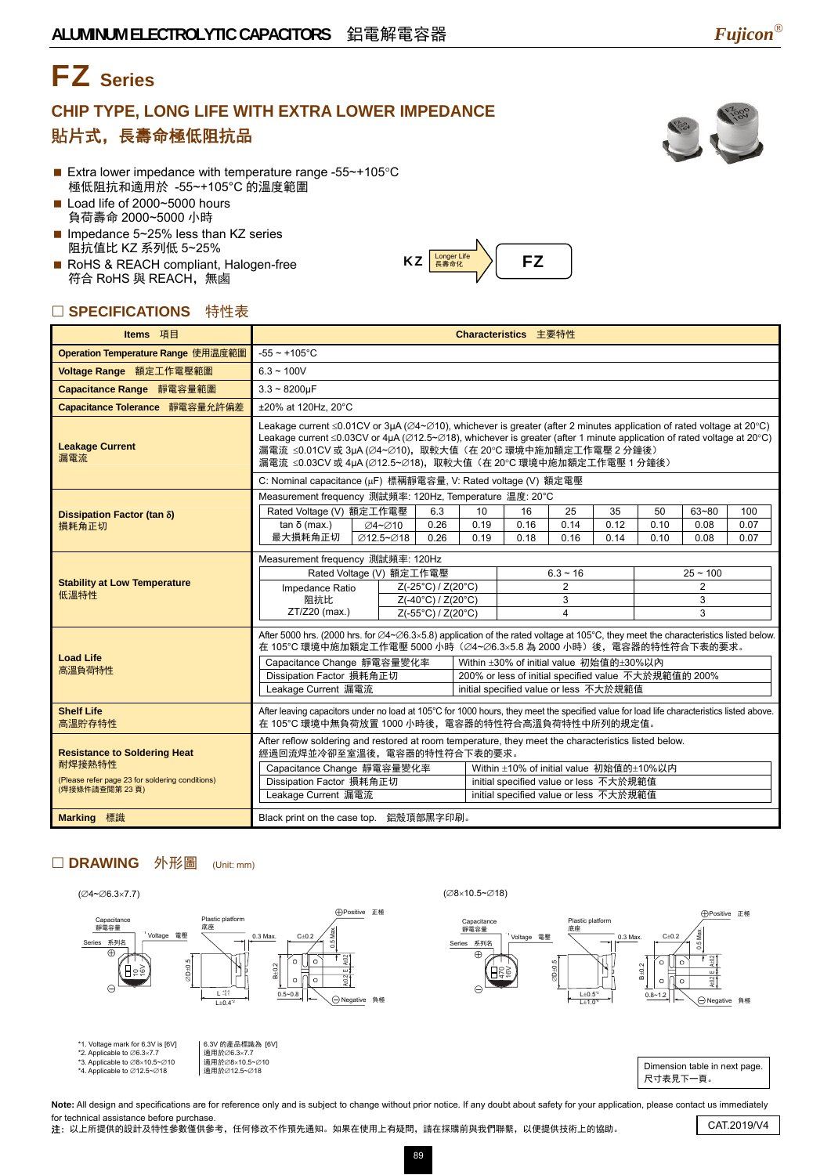# FZ **Series**

### **CHIP TYPE, LONG LIFE WITH EXTRA LOWER IMPEDANCE**  貼片式,長壽命極低阻抗品

- Extra lower impedance with temperature range -55~+105°C 極低阻抗和適用於 -55~+105°C 的溫度範圍
- Load life of 2000~5000 hours 負荷壽命 2000~5000 小時
- Impedance  $5 25%$  less than KZ series 阻抗值比 KZ 系列低 5~25%
- RoHS & REACH compliant, Halogen-free 符合 RoHS 與 REACH, 無鹵

### □ SPECIFICATIONS 特性表

| Items 項目                                                                                                                                                                                                                                                                                                                                                                                                                                                                                                                                                                                                                                                                                                                                               |                                                                                                                                                                                                                                                                                                                                                                                                                                                   | Characteristics 主要特性 |                                                      |  |  |      |            |  |      |  |  |  |
|--------------------------------------------------------------------------------------------------------------------------------------------------------------------------------------------------------------------------------------------------------------------------------------------------------------------------------------------------------------------------------------------------------------------------------------------------------------------------------------------------------------------------------------------------------------------------------------------------------------------------------------------------------------------------------------------------------------------------------------------------------|---------------------------------------------------------------------------------------------------------------------------------------------------------------------------------------------------------------------------------------------------------------------------------------------------------------------------------------------------------------------------------------------------------------------------------------------------|----------------------|------------------------------------------------------|--|--|------|------------|--|------|--|--|--|
| Operation Temperature Range 使用温度範圍                                                                                                                                                                                                                                                                                                                                                                                                                                                                                                                                                                                                                                                                                                                     | $-55 - +105$ °C                                                                                                                                                                                                                                                                                                                                                                                                                                   |                      |                                                      |  |  |      |            |  |      |  |  |  |
| Voltage Range 額定工作電壓範圍                                                                                                                                                                                                                                                                                                                                                                                                                                                                                                                                                                                                                                                                                                                                 | $6.3 - 100V$                                                                                                                                                                                                                                                                                                                                                                                                                                      |                      |                                                      |  |  |      |            |  |      |  |  |  |
| Capacitance Range 靜電容量範圍                                                                                                                                                                                                                                                                                                                                                                                                                                                                                                                                                                                                                                                                                                                               |                                                                                                                                                                                                                                                                                                                                                                                                                                                   |                      |                                                      |  |  |      |            |  |      |  |  |  |
| Capacitance Tolerance 靜電容量允許偏差                                                                                                                                                                                                                                                                                                                                                                                                                                                                                                                                                                                                                                                                                                                         |                                                                                                                                                                                                                                                                                                                                                                                                                                                   |                      |                                                      |  |  |      |            |  |      |  |  |  |
| <b>Leakage Current</b><br>漏電流                                                                                                                                                                                                                                                                                                                                                                                                                                                                                                                                                                                                                                                                                                                          | Leakage current $\leq 0.01$ CV or 3µA ( $\varnothing$ 4~ $\varnothing$ 10), whichever is greater (after 2 minutes application of rated voltage at 20°C)<br>Leakage current $\leq 0.03$ CV or 4µA ( $\varnothing$ 12.5~ $\varnothing$ 18), whichever is greater (after 1 minute application of rated voltage at 20°C)<br>漏電流 ≤0.01CV 或 3µA (∅4~∅10),取較大值 (在 20℃ 環境中施加額定工作電壓 2 分鐘後)<br>漏電流 ≤0.03CV 或 4µA (∅12.5~∅18),取較大值 (在 20℃ 環境中施加額定工作電壓 1 分鐘後) |                      |                                                      |  |  |      |            |  |      |  |  |  |
|                                                                                                                                                                                                                                                                                                                                                                                                                                                                                                                                                                                                                                                                                                                                                        | C: Nominal capacitance (µF) 標稱靜電容量, V: Rated voltage (V) 額定電壓<br>Measurement frequency 測試頻率: 120Hz, Temperature 温度: 20°C<br>Rated Voltage (V) 額定工作電壓<br>6.3<br>10<br>25<br>35<br>50<br>$63 - 80$<br>100<br>16<br>0.26<br>0.19<br>0.16<br>0.14<br>0.12<br>0.08<br>0.10<br>$tan δ$ (max.)<br><b>⊘4~⊘10</b><br>最大損耗角正切<br>Ø12.5~Ø18<br>0.26<br>0.19<br>0.18<br>0.16<br>0.14<br>0.08<br>0.10                                                          |                      |                                                      |  |  |      |            |  |      |  |  |  |
|                                                                                                                                                                                                                                                                                                                                                                                                                                                                                                                                                                                                                                                                                                                                                        |                                                                                                                                                                                                                                                                                                                                                                                                                                                   |                      |                                                      |  |  |      |            |  |      |  |  |  |
|                                                                                                                                                                                                                                                                                                                                                                                                                                                                                                                                                                                                                                                                                                                                                        |                                                                                                                                                                                                                                                                                                                                                                                                                                                   |                      |                                                      |  |  |      |            |  | 0.07 |  |  |  |
| $3.3 - 8200 \mu F$<br>±20% at 120Hz, 20°C<br>Dissipation Factor (tan $\delta$ )<br>損耗角正切<br>Measurement frequency 測試頻率: 120Hz<br>Rated Voltage (V) 額定工作電壓<br><b>Stability at Low Temperature</b><br>$Z(-25^{\circ}C)/Z(20^{\circ}C)$<br>Impedance Ratio<br>低溫特性<br>阻抗比<br>Z(-40°C) / Z(20°C)<br>ZT/Z20 (max.)<br>Z(-55°C) / Z(20°C)<br><b>Load Life</b><br>Capacitance Change 靜電容量變化率<br>高溫負荷特性<br>Dissipation Factor 損耗角正切<br>Leakage Current 漏電流<br><b>Shelf Life</b><br>高溫貯存特性<br><b>Resistance to Soldering Heat</b><br>耐焊接熱特性<br>Capacitance Change 靜電容量變化率<br>(Please refer page 23 for soldering conditions)<br>Dissipation Factor 損耗角正切<br>(焊接條件請查閱第23頁)<br>Leakage Current 漏電流<br>Black print on the case top. 鋁殼頂部黑字印刷。<br><b>Marking 標識</b> |                                                                                                                                                                                                                                                                                                                                                                                                                                                   |                      |                                                      |  |  | 0.07 |            |  |      |  |  |  |
|                                                                                                                                                                                                                                                                                                                                                                                                                                                                                                                                                                                                                                                                                                                                                        |                                                                                                                                                                                                                                                                                                                                                                                                                                                   |                      |                                                      |  |  |      |            |  |      |  |  |  |
|                                                                                                                                                                                                                                                                                                                                                                                                                                                                                                                                                                                                                                                                                                                                                        |                                                                                                                                                                                                                                                                                                                                                                                                                                                   |                      | $6.3 - 16$                                           |  |  |      | $25 - 100$ |  |      |  |  |  |
|                                                                                                                                                                                                                                                                                                                                                                                                                                                                                                                                                                                                                                                                                                                                                        |                                                                                                                                                                                                                                                                                                                                                                                                                                                   |                      |                                                      |  |  |      | 2<br>3     |  |      |  |  |  |
| $\overline{2}$<br>3<br>$\overline{4}$<br>After 5000 hrs. (2000 hrs. for $\varnothing$ 4~ $\varnothing$ 6.3×5.8) application of the rated voltage at 105°C, they meet the characteristics listed below.<br>在 105°C 環境中施加額定工作電壓 5000 小時 (Ø4~Ø6.3×5.8 為 2000 小時) 後, 電容器的特性符合下表的要求。<br>initial specified value or less 不大於規範值<br>After leaving capacitors under no load at 105°C for 1000 hours, they meet the specified value for load life characteristics listed above.<br>在 105°C 環境中無負荷放置 1000 小時後,電容器的特性符合高溫負荷特性中所列的規定值。<br>經過回流焊並冷卻至室溫後,電容器的特性符合下表的要求。<br>Within ±10% of initial value 初始值的±10%以内<br>initial specified value or less 不大於規範值<br>initial specified value or less 不大於規範值                                                               |                                                                                                                                                                                                                                                                                                                                                                                                                                                   |                      | 3                                                    |  |  |      |            |  |      |  |  |  |
|                                                                                                                                                                                                                                                                                                                                                                                                                                                                                                                                                                                                                                                                                                                                                        |                                                                                                                                                                                                                                                                                                                                                                                                                                                   |                      |                                                      |  |  |      |            |  |      |  |  |  |
|                                                                                                                                                                                                                                                                                                                                                                                                                                                                                                                                                                                                                                                                                                                                                        |                                                                                                                                                                                                                                                                                                                                                                                                                                                   |                      | Within ±30% of initial value 初始值的±30%以內              |  |  |      |            |  |      |  |  |  |
|                                                                                                                                                                                                                                                                                                                                                                                                                                                                                                                                                                                                                                                                                                                                                        |                                                                                                                                                                                                                                                                                                                                                                                                                                                   |                      | 200% or less of initial specified value 不大於規範值的 200% |  |  |      |            |  |      |  |  |  |
|                                                                                                                                                                                                                                                                                                                                                                                                                                                                                                                                                                                                                                                                                                                                                        |                                                                                                                                                                                                                                                                                                                                                                                                                                                   |                      |                                                      |  |  |      |            |  |      |  |  |  |
|                                                                                                                                                                                                                                                                                                                                                                                                                                                                                                                                                                                                                                                                                                                                                        |                                                                                                                                                                                                                                                                                                                                                                                                                                                   |                      |                                                      |  |  |      |            |  |      |  |  |  |
|                                                                                                                                                                                                                                                                                                                                                                                                                                                                                                                                                                                                                                                                                                                                                        | After reflow soldering and restored at room temperature, they meet the characteristics listed below.                                                                                                                                                                                                                                                                                                                                              |                      |                                                      |  |  |      |            |  |      |  |  |  |
|                                                                                                                                                                                                                                                                                                                                                                                                                                                                                                                                                                                                                                                                                                                                                        |                                                                                                                                                                                                                                                                                                                                                                                                                                                   |                      |                                                      |  |  |      |            |  |      |  |  |  |
|                                                                                                                                                                                                                                                                                                                                                                                                                                                                                                                                                                                                                                                                                                                                                        |                                                                                                                                                                                                                                                                                                                                                                                                                                                   |                      |                                                      |  |  |      |            |  |      |  |  |  |
|                                                                                                                                                                                                                                                                                                                                                                                                                                                                                                                                                                                                                                                                                                                                                        |                                                                                                                                                                                                                                                                                                                                                                                                                                                   |                      |                                                      |  |  |      |            |  |      |  |  |  |
|                                                                                                                                                                                                                                                                                                                                                                                                                                                                                                                                                                                                                                                                                                                                                        |                                                                                                                                                                                                                                                                                                                                                                                                                                                   |                      |                                                      |  |  |      |            |  |      |  |  |  |

#### □ DRAWING 外形圖 (Unit: mm)



Note: All design and specifications are for reference only and is subject to change without prior notice. If any doubt about safety for your application, please contact us immediately for technical assistance before purchase.

nor technical assistance before purchase.<br>注:以上所提供的設計及特性參數僅供參考,任何修改不作預先通知。如果在使用上有疑問,請在採購前與我們聯繫,以便提供技術上的協助。 CAT.2019/V4





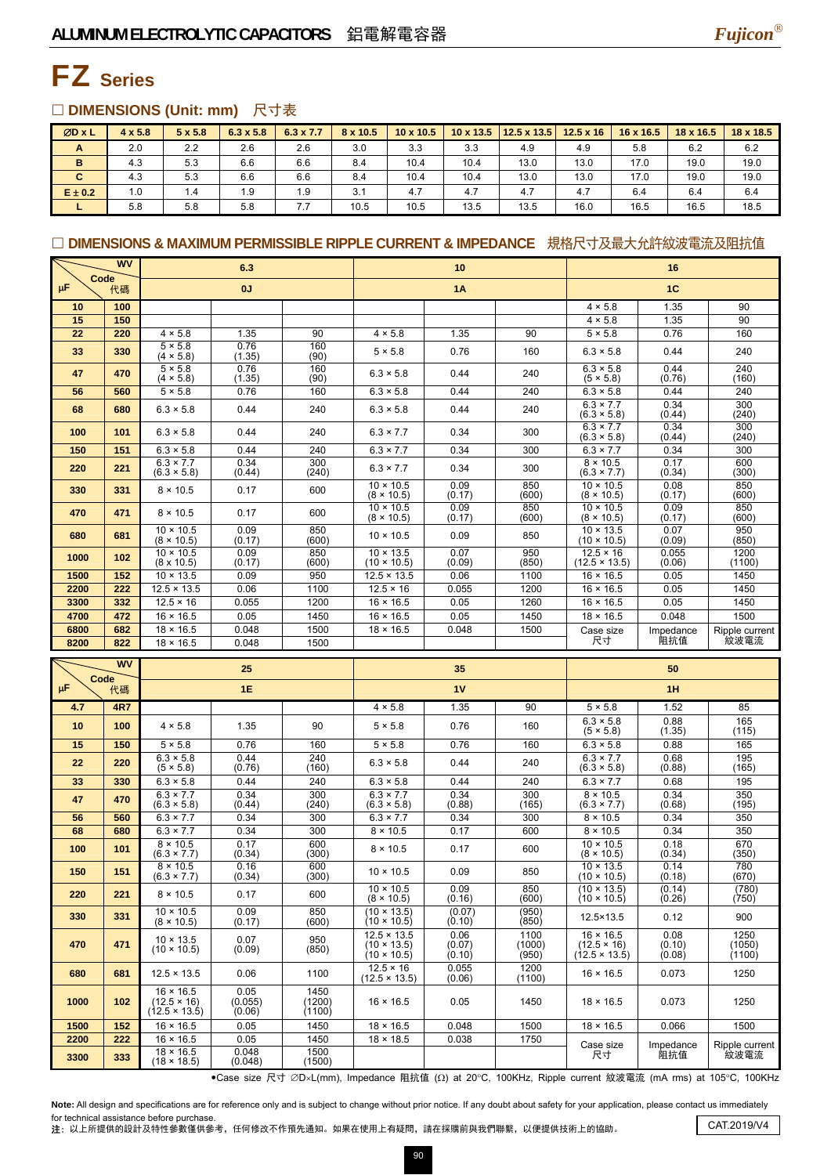

## FZ **Series**

### □ DIMENSIONS (Unit: mm) 尺寸表

| ØD x L      | $4 \times 5.8$ | $5 \times 5.8$ | $6.3 \times 5.8$ | $6.3 \times 7.7$ | 8 x 10.5 | $10 \times 10.5$ |      | $10 \times 13.5$   12.5 x 13.5 | $12.5 \times 16$ | $16 \times 16.5$ | $18 \times 16.5$ | $18 \times 18.5$ |
|-------------|----------------|----------------|------------------|------------------|----------|------------------|------|--------------------------------|------------------|------------------|------------------|------------------|
| A           | 2.0            | 2.2            | 2.6              | 2.6              | 3.0      | 3.3              | 3.3  | 4.9                            | 4.9              | 5.8              | 6.2              | 6.2              |
| B           | 4.3            | 5.3            | 6.6              | 6.6              | 8.4      | 10.4             | 10.4 | 13.0                           | 13.0             | 17.0             | 19.0             | 19.0             |
| C           | 4.3            | 5.3            | 6.6              | 6.6              | 8.4      | 10.4             | 10.4 | 13.0                           | 13.0             | 17.0             | 19.0             | 19.0             |
| $E \pm 0.2$ | 1.0            | 1.4            | 1.9              | 1.9              | 3.1      | 4.7              | 4.7  | 4.7                            | 4.7              | 6.4              | 6.4              | 6.4              |
|             | 5.8            | 5.8            | 5.8              | 7.7              | 10.5     | 10.5             | 13.5 | 13.5                           | 16.0             | 16.5             | 16.5             | 18.5             |

### □ DIMENSIONS & MAXIMUM PERMISSIBLE RIPPLE CURRENT & IMPEDANCE 規格尺寸及最大允許紋波電流及阻抗值

| <b>WV</b><br>Code<br>μF<br>代碼 |     | 6.3<br>0J                              |                |              |                                        | 10             |              | 16<br>1 <sup>C</sup>                     |                 |                |  |
|-------------------------------|-----|----------------------------------------|----------------|--------------|----------------------------------------|----------------|--------------|------------------------------------------|-----------------|----------------|--|
|                               |     |                                        |                |              |                                        | 1A             |              |                                          |                 |                |  |
| 10                            | 100 |                                        |                |              |                                        |                |              | $4 \times 5.8$                           | 1.35            | 90             |  |
| 15                            | 150 |                                        |                |              |                                        |                |              | $4 \times 5.8$                           | 1.35            | 90             |  |
| 22                            | 220 | $4 \times 5.8$                         | 1.35           | 90           | $4 \times 5.8$                         | 1.35           | 90           | $5 \times 5.8$                           | 0.76            | 160            |  |
| 33                            | 330 | $5 \times 5.8$<br>$(4 \times 5.8)$     | 0.76<br>(1.35) | 160<br>(90)  | $5 \times 5.8$                         | 0.76           | 160          | $6.3 \times 5.8$                         | 0.44            | 240            |  |
| 47                            | 470 | $5 \times 5.8$<br>$(4 \times 5.8)$     | 0.76<br>(1.35) | 160<br>(90)  | $6.3 \times 5.8$                       | 0.44           | 240          | $6.3 \times 5.8$<br>(5 × 5.8)            | 0.44<br>(0.76)  | 240<br>(160)   |  |
| 56                            | 560 | $5 \times 5.8$                         | 0.76           | 160          | $6.3 \times 5.8$                       | 0.44           | 240          | $6.3 \times 5.8$                         | 0.44            | 240            |  |
| 68                            | 680 | $6.3 \times 5.8$                       | 0.44           | 240          | $6.3 \times 5.8$                       | 0.44           | 240          | $6.3 \times 7.7$<br>$(6.3 \times 5.8)$   | 0.34<br>(0.44)  | 300<br>(240)   |  |
| 100                           | 101 | $6.3 \times 5.8$                       | 0.44           | 240          | $6.3 \times 7.7$                       | 0.34           | 300          | $6.3 \times 7.7$<br>$(6.3 \times 5.8)$   | 0.34<br>(0.44)  | 300<br>(240)   |  |
| 150                           | 151 | $6.3 \times 5.8$                       | 0.44           | 240          | $6.3 \times 7.7$                       | 0.34           | 300          | $6.3 \times 7.7$                         | 0.34            | 300            |  |
| 220                           | 221 | $6.3 \times 7.7$<br>$(6.3 \times 5.8)$ | 0.34<br>(0.44) | 300<br>(240) | $6.3 \times 7.7$                       | 0.34           | 300          | $8 \times 10.5$<br>$(6.3 \times 7.7)$    | 0.17<br>(0.34)  | 600<br>(300)   |  |
| 330                           | 331 | $8 \times 10.5$                        | 0.17           | 600          | $10 \times 10.5$<br>$(8 \times 10.5)$  | 0.09<br>(0.17) | 850<br>(600) | $10 \times 10.5$<br>$(8 \times 10.5)$    | 0.08<br>(0.17)  | 850<br>(600)   |  |
| 470                           | 471 | $8 \times 10.5$                        | 0.17           | 600          | $10 \times 10.5$<br>$(8 \times 10.5)$  | 0.09<br>(0.17) | 850<br>(600) | $10 \times 10.5$<br>$(8 \times 10.5)$    | 0.09<br>(0.17)  | 850<br>(600)   |  |
| 680                           | 681 | $10 \times 10.5$<br>$(8 \times 10.5)$  | 0.09<br>(0.17) | 850<br>(600) | $10 \times 10.5$                       | 0.09           | 850          | $10 \times 13.5$<br>$(10 \times 10.5)$   | 0.07<br>(0.09)  | 950<br>(850)   |  |
| 1000                          | 102 | $10 \times 10.5$<br>$(8 \times 10.5)$  | 0.09<br>(0.17) | 850<br>(600) | $10 \times 13.5$<br>$(10 \times 10.5)$ | 0.07<br>(0.09) | 950<br>(850) | $12.5 \times 16$<br>$(12.5 \times 13.5)$ | 0.055<br>(0.06) | 1200<br>(1100) |  |
| 1500                          | 152 | $10 \times 13.5$                       | 0.09           | 950          | $12.5 \times 13.5$                     | 0.06           | 1100         | $16 \times 16.5$                         | 0.05            | 1450           |  |
| 2200                          | 222 | $12.5 \times 13.5$                     | 0.06           | 1100         | $12.5 \times 16$                       | 0.055          | 1200         | $16 \times 16.5$                         | 0.05            | 1450           |  |
| 3300                          | 332 | $12.5 \times 16$                       | 0.055          | 1200         | $16 \times 16.5$                       | 0.05           | 1260         | $16 \times 16.5$                         | 0.05            | 1450           |  |
| 4700                          | 472 | $16 \times 16.5$                       | 0.05           | 1450         | $16 \times 16.5$                       | 0.05           | 1450         | $18 \times 16.5$                         | 0.048           | 1500           |  |
| 6800                          | 682 | $18 \times 16.5$                       | 0.048          | 1500         | $18 \times 16.5$                       | 0.048          | 1500         | Case size                                | Impedance       | Ripple current |  |
| 8200                          | 822 | $18 \times 16.5$                       | 0.048          | 1500         |                                        |                |              | 尺寸                                       | 阻抗值<br>紋波電流     |                |  |

| Code | <b>WV</b>  |                                                                | 25                        |                          |                                                         | 35                       |                         |                                                                |                          |                          |
|------|------------|----------------------------------------------------------------|---------------------------|--------------------------|---------------------------------------------------------|--------------------------|-------------------------|----------------------------------------------------------------|--------------------------|--------------------------|
| μF   | 代碼         |                                                                | 1E                        |                          |                                                         | 1V                       |                         | 1H                                                             |                          |                          |
| 4.7  | <b>4R7</b> |                                                                |                           |                          | $4 \times 5.8$                                          | 1.35                     | 90                      | $5 \times 5.8$                                                 | 1.52                     | 85                       |
| 10   | 100        | $4 \times 5.8$                                                 | 1.35                      | 90                       | $5 \times 5.8$                                          | 0.76                     | 160                     | $6.3 \times 5.8$<br>(5 × 5.8)                                  | 0.88<br>(1.35)           | 165<br>(115)             |
| 15   | 150        | $5 \times 5.8$                                                 | 0.76                      | 160                      | $5 \times 5.8$                                          | 0.76                     | 160                     | $6.3 \times 5.8$                                               | 0.88                     | 165                      |
| 22   | 220        | $6.3 \times 5.8$<br>(5 × 5.8)                                  | 0.44<br>(0.76)            | 240<br>(160)             | $6.3 \times 5.8$                                        | 0.44                     | 240                     | $6.3 \times 7.7$<br>$(6.3 \times 5.8)$                         | 0.68<br>(0.88)           | 195<br>(165)             |
| 33   | 330        | $6.3 \times 5.8$                                               | 0.44                      | 240                      | $6.3 \times 5.8$                                        | 0.44                     | 240                     | $6.3 \times 7.7$                                               | 0.68                     | 195                      |
| 47   | 470        | $6.3 \times 7.7$<br>$(6.3 \times 5.8)$                         | 0.34<br>(0.44)            | 300<br>(240)             | $6.3 \times 7.7$<br>$(6.3 \times 5.8)$                  | 0.34<br>(0.88)           | 300<br>(165)            | $8 \times 10.5$<br>$(6.3 \times 7.7)$                          | 0.34<br>(0.68)           | 350<br>(195)             |
| 56   | 560        | $6.3 \times 7.7$                                               | 0.34                      | 300                      | $6.3 \times 7.7$                                        | 0.34                     | 300                     | $8 \times 10.5$                                                | 0.34                     | 350                      |
| 68   | 680        | $6.3 \times 7.7$                                               | 0.34                      | 300                      | $8 \times 10.5$                                         | 0.17                     | 600                     | $8 \times 10.5$                                                | 0.34                     | 350                      |
| 100  | 101        | $8 \times 10.5$<br>$(6.3 \times 7.7)$                          | 0.17<br>(0.34)            | 600<br>(300)             | $8 \times 10.5$                                         | 0.17                     | 600                     | $10 \times 10.5$<br>$(8 \times 10.5)$                          | 0.18<br>(0.34)           | 670<br>(350)             |
| 150  | 151        | $8 \times 10.5$<br>$(6.3 \times 7.7)$                          | 0.16<br>(0.34)            | 600<br>(300)             | $10 \times 10.5$                                        | 0.09                     | 850                     | $10 \times 13.5$<br>$(10 \times 10.5)$                         | 0.14<br>(0.18)           | 780<br>(670)             |
| 220  | 221        | $8 \times 10.5$                                                | 0.17                      | 600                      | $10 \times 10.5$<br>$(8 \times 10.5)$                   | 0.09<br>(0.16)           | 850<br>(600)            | $(10 \times 13.5)$<br>$(10 \times 10.5)$                       | (0.14)<br>(0.26)         | (780)<br>(750)           |
| 330  | 331        | $10 \times 10.5$<br>$(8 \times 10.5)$                          | 0.09<br>(0.17)            | 850<br>(600)             | $(10 \times 13.5)$<br>$(10 \times 10.5)$                | (0.07)<br>(0.10)         | (950)<br>(850)          | 12.5×13.5                                                      | 0.12                     | 900                      |
| 470  | 471        | $10 \times 13.5$<br>$(10 \times 10.5)$                         | 0.07<br>(0.09)            | 950<br>(850)             | $12.5 \times 13.5$<br>$(10 \times 13.5)$<br>(10 × 10.5) | 0.06<br>(0.07)<br>(0.10) | 1100<br>(1000)<br>(950) | $16 \times 16.5$<br>$(12.5 \times 16)$<br>$(12.5 \times 13.5)$ | 0.08<br>(0.10)<br>(0.08) | 1250<br>(1050)<br>(1100) |
| 680  | 681        | $12.5 \times 13.5$                                             | 0.06                      | 1100                     | $12.5 \times 16$<br>$(12.5 \times 13.5)$                | 0.055<br>(0.06)          | 1200<br>(1100)          | $16 \times 16.5$                                               | 0.073                    | 1250                     |
| 1000 | 102        | $16 \times 16.5$<br>$(12.5 \times 16)$<br>$(12.5 \times 13.5)$ | 0.05<br>(0.055)<br>(0.06) | 1450<br>(1200)<br>(1100) | $16 \times 16.5$                                        | 0.05                     | 1450                    | $18 \times 16.5$                                               | 0.073                    | 1250                     |
| 1500 | 152        | $16 \times 16.5$                                               | 0.05                      | 1450                     | $18 \times 16.5$                                        | 0.048                    | 1500                    | $18 \times 16.5$                                               | 0.066                    | 1500                     |
| 2200 | 222        | $16 \times 16.5$                                               | 0.05                      | 1450                     | $18 \times 18.5$                                        | 0.038                    | 1750                    | Case size                                                      | Impedance                | Ripple current           |
| 3300 | 333        | $18 \times 16.5$<br>$(18 \times 18.5)$                         | 0.048<br>(0.048)          | 1500<br>(1500)           |                                                         |                          |                         | 尺寸                                                             | 阻抗值                      | 紋波電流                     |

yCase size 尺寸 ∅D×L(mm), Impedance 阻抗值 (Ω) at 20°C, 100KHz, Ripple current 紋波電流 (mA rms) at 105°C, 100KHz

Note: All design and specifications are for reference only and is subject to change without prior notice. If any doubt about safety for your application, please contact us immediately for technical assistance before purchase.

for technical assistance before purchase.<br>注: 以上所提供的設計及特性參數僅供參考,任何修改不作預先通知。如果在使用上有疑問,請在採購前與我們聯繫,以便提供技術上的協助。 CAT.2019/V4